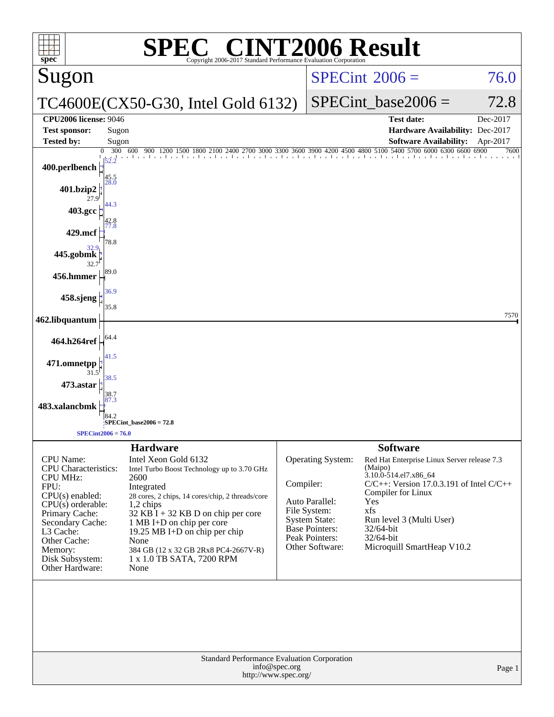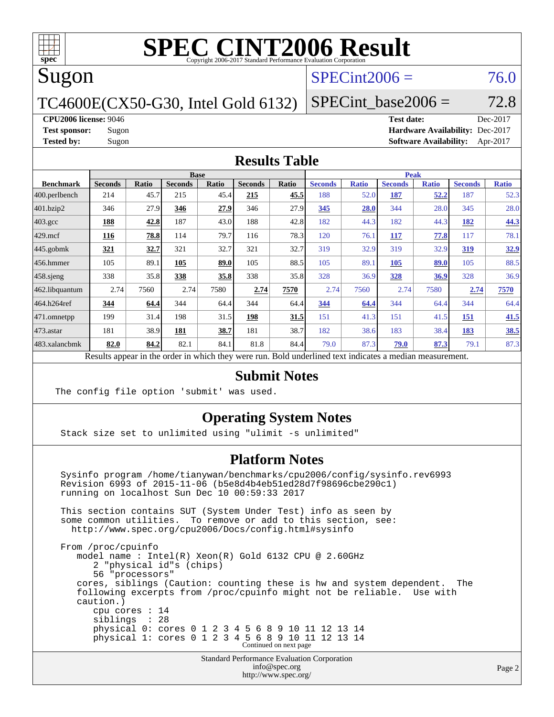

# Sugon

# $SPECint2006 = 76.0$  $SPECint2006 = 76.0$

TC4600E(CX50-G30, Intel Gold 6132)

SPECint base2006 =  $72.8$ 

**[CPU2006 license:](http://www.spec.org/auto/cpu2006/Docs/result-fields.html#CPU2006license)** 9046 **[Test date:](http://www.spec.org/auto/cpu2006/Docs/result-fields.html#Testdate)** Dec-2017

**[Test sponsor:](http://www.spec.org/auto/cpu2006/Docs/result-fields.html#Testsponsor)** Sugon **[Hardware Availability:](http://www.spec.org/auto/cpu2006/Docs/result-fields.html#HardwareAvailability)** Dec-2017 **[Tested by:](http://www.spec.org/auto/cpu2006/Docs/result-fields.html#Testedby)** Sugon **[Software Availability:](http://www.spec.org/auto/cpu2006/Docs/result-fields.html#SoftwareAvailability)** Apr-2017

### **[Results Table](http://www.spec.org/auto/cpu2006/Docs/result-fields.html#ResultsTable)**

|                                                                                                          | <b>Base</b>    |             |                |       | <b>Peak</b>    |       |                |              |                |              |                |              |
|----------------------------------------------------------------------------------------------------------|----------------|-------------|----------------|-------|----------------|-------|----------------|--------------|----------------|--------------|----------------|--------------|
| <b>Benchmark</b>                                                                                         | <b>Seconds</b> | Ratio       | <b>Seconds</b> | Ratio | <b>Seconds</b> | Ratio | <b>Seconds</b> | <b>Ratio</b> | <b>Seconds</b> | <b>Ratio</b> | <b>Seconds</b> | <b>Ratio</b> |
| 400.perlbench                                                                                            | 214            | 45.7        | 215            | 45.4  | 215            | 45.5  | 188            | 52.0         | 187            | 52.2         | 187            | 52.3         |
| 401.bzip2                                                                                                | 346            | 27.9        | 346            | 27.9  | 346            | 27.9  | 345            | 28.0         | 344            | 28.0         | 345            | 28.0         |
| $403.\mathrm{gcc}$                                                                                       | 188            | 42.8        | 187            | 43.0  | 188            | 42.8  | 182            | 44.3         | 182            | 44.3         | 182            | 44.3         |
| $429$ .mcf                                                                                               | 116            | 78.8        | 114            | 79.7  | 116            | 78.3  | 120            | 76.1         | 117            | 77.8         | 117            | 78.1         |
| $445$ .gobmk                                                                                             | 321            | <u>32.7</u> | 321            | 32.7  | 321            | 32.7  | 319            | 32.9         | 319            | 32.9         | <u>319</u>     | 32.9         |
| $456.$ hmmer                                                                                             | 105            | 89.1        | 105            | 89.0  | 105            | 88.5  | 105            | 89.1         | 105            | 89.0         | 105            | 88.5         |
| $458$ .sjeng                                                                                             | 338            | 35.8        | 338            | 35.8  | 338            | 35.8  | 328            | 36.9         | 328            | 36.9         | 328            | 36.9         |
| 462.libquantum                                                                                           | 2.74           | 7560        | 2.74           | 7580  | 2.74           | 7570  | 2.74           | 7560         | 2.74           | 7580         | 2.74           | 7570         |
| 464.h264ref                                                                                              | 344            | 64.4        | 344            | 64.4  | 344            | 64.4  | 344            | 64.4         | 344            | 64.4         | 344            | 64.4         |
| 471.omnetpp                                                                                              | 199            | 31.4        | 198            | 31.5  | 198            | 31.5  | 151            | 41.3         | 151            | 41.5         | <b>151</b>     | 41.5         |
| 473.astar                                                                                                | 181            | 38.9        | 181            | 38.7  | 181            | 38.7  | 182            | 38.6         | 183            | 38.4         | 183            | 38.5         |
| 483.xalancbmk                                                                                            | 82.0           | 84.2        | 82.1           | 84.1  | 81.8           | 84.4  | 79.0           | 87.3         | 79.0           | 87.3         | 79.1           | 87.3         |
| Results appear in the order in which they were run. Bold underlined text indicates a median measurement. |                |             |                |       |                |       |                |              |                |              |                |              |

### **[Submit Notes](http://www.spec.org/auto/cpu2006/Docs/result-fields.html#SubmitNotes)**

The config file option 'submit' was used.

### **[Operating System Notes](http://www.spec.org/auto/cpu2006/Docs/result-fields.html#OperatingSystemNotes)**

Stack size set to unlimited using "ulimit -s unlimited"

### **[Platform Notes](http://www.spec.org/auto/cpu2006/Docs/result-fields.html#PlatformNotes)**

 Sysinfo program /home/tianywan/benchmarks/cpu2006/config/sysinfo.rev6993 Revision 6993 of 2015-11-06 (b5e8d4b4eb51ed28d7f98696cbe290c1) running on localhost Sun Dec 10 00:59:33 2017 This section contains SUT (System Under Test) info as seen by some common utilities. To remove or add to this section, see: <http://www.spec.org/cpu2006/Docs/config.html#sysinfo> From /proc/cpuinfo model name : Intel(R) Xeon(R) Gold 6132 CPU @ 2.60GHz 2 "physical id"s (chips) 56 "processors" cores, siblings (Caution: counting these is hw and system dependent. The following excerpts from /proc/cpuinfo might not be reliable. Use with caution.) cpu cores : 14 siblings : 28 physical 0: cores 0 1 2 3 4 5 6 8 9 10 11 12 13 14 physical 1: cores 0 1 2 3 4 5 6 8 9 10 11 12 13 14 Continued on next page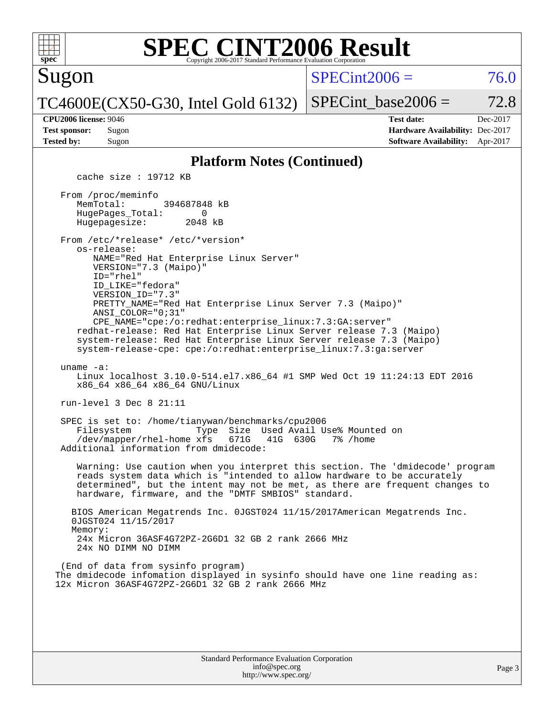

Sugon

 $SPECint2006 = 76.0$  $SPECint2006 = 76.0$ 

TC4600E(CX50-G30, Intel Gold 6132)

SPECint base2006 =  $72.8$ 

**[CPU2006 license:](http://www.spec.org/auto/cpu2006/Docs/result-fields.html#CPU2006license)** 9046 **[Test date:](http://www.spec.org/auto/cpu2006/Docs/result-fields.html#Testdate)** Dec-2017 **[Test sponsor:](http://www.spec.org/auto/cpu2006/Docs/result-fields.html#Testsponsor)** Sugon **[Hardware Availability:](http://www.spec.org/auto/cpu2006/Docs/result-fields.html#HardwareAvailability)** Dec-2017 **[Tested by:](http://www.spec.org/auto/cpu2006/Docs/result-fields.html#Testedby)** Sugon **[Software Availability:](http://www.spec.org/auto/cpu2006/Docs/result-fields.html#SoftwareAvailability)** Apr-2017

#### **[Platform Notes \(Continued\)](http://www.spec.org/auto/cpu2006/Docs/result-fields.html#PlatformNotes)**

cache size : 19712 KB

 From /proc/meminfo MemTotal: 394687848 kB<br>HugePages Total: 0 HugePages\_Total: 0<br>Hugepagesize: 2048 kB Hugepagesize:

 From /etc/\*release\* /etc/\*version\* os-release: NAME="Red Hat Enterprise Linux Server"

 VERSION="7.3 (Maipo)" ID="rhel" ID\_LIKE="fedora" VERSION\_ID="7.3" PRETTY\_NAME="Red Hat Enterprise Linux Server 7.3 (Maipo)" ANSI\_COLOR="0;31" CPE\_NAME="cpe:/o:redhat:enterprise\_linux:7.3:GA:server"

 redhat-release: Red Hat Enterprise Linux Server release 7.3 (Maipo) system-release: Red Hat Enterprise Linux Server release 7.3 (Maipo) system-release-cpe: cpe:/o:redhat:enterprise\_linux:7.3:ga:server

uname -a:

 Linux localhost 3.10.0-514.el7.x86\_64 #1 SMP Wed Oct 19 11:24:13 EDT 2016 x86\_64 x86\_64 x86\_64 GNU/Linux

run-level 3 Dec 8 21:11

 SPEC is set to: /home/tianywan/benchmarks/cpu2006 Type Size Used Avail Use% Mounted on /dev/mapper/rhel-home xfs 671G 41G 630G 7% /home Additional information from dmidecode:

 Warning: Use caution when you interpret this section. The 'dmidecode' program reads system data which is "intended to allow hardware to be accurately determined", but the intent may not be met, as there are frequent changes to hardware, firmware, and the "DMTF SMBIOS" standard.

 BIOS American Megatrends Inc. 0JGST024 11/15/2017American Megatrends Inc. 0JGST024 11/15/2017 Memory: 24x Micron 36ASF4G72PZ-2G6D1 32 GB 2 rank 2666 MHz 24x NO DIMM NO DIMM

 (End of data from sysinfo program) The dmidecode infomation displayed in sysinfo should have one line reading as: 12x Micron 36ASF4G72PZ-2G6D1 32 GB 2 rank 2666 MHz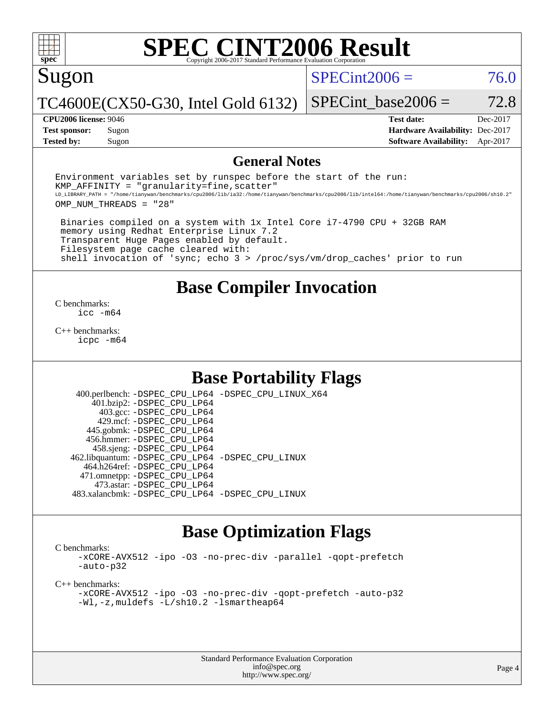# Sugon

 $SPECint2006 = 76.0$  $SPECint2006 = 76.0$ 

TC4600E(CX50-G30, Intel Gold 6132)

**[Tested by:](http://www.spec.org/auto/cpu2006/Docs/result-fields.html#Testedby)** Sugon **[Software Availability:](http://www.spec.org/auto/cpu2006/Docs/result-fields.html#SoftwareAvailability)** Apr-2017

**[CPU2006 license:](http://www.spec.org/auto/cpu2006/Docs/result-fields.html#CPU2006license)** 9046 **[Test date:](http://www.spec.org/auto/cpu2006/Docs/result-fields.html#Testdate)** Dec-2017 **[Test sponsor:](http://www.spec.org/auto/cpu2006/Docs/result-fields.html#Testsponsor)** Sugon **[Hardware Availability:](http://www.spec.org/auto/cpu2006/Docs/result-fields.html#HardwareAvailability)** Dec-2017

SPECint base2006 =  $72.8$ 

### **[General Notes](http://www.spec.org/auto/cpu2006/Docs/result-fields.html#GeneralNotes)**

Environment variables set by runspec before the start of the run:  $KMP$  AFFINITY = "granularity=fine, scatter" LD\_LIBRARY\_PATH = "/home/tianywan/benchmarks/cpu2006/lib/ia32:/home/tianywan/benchmarks/cpu2006/lib/intel64:/home/tianywan/benchmarks/cpu2006/sh10.2" OMP\_NUM\_THREADS = "28"

 Binaries compiled on a system with 1x Intel Core i7-4790 CPU + 32GB RAM memory using Redhat Enterprise Linux 7.2 Transparent Huge Pages enabled by default. Filesystem page cache cleared with: shell invocation of 'sync; echo 3 > /proc/sys/vm/drop\_caches' prior to run

# **[Base Compiler Invocation](http://www.spec.org/auto/cpu2006/Docs/result-fields.html#BaseCompilerInvocation)**

[C benchmarks](http://www.spec.org/auto/cpu2006/Docs/result-fields.html#Cbenchmarks): [icc -m64](http://www.spec.org/cpu2006/results/res2017q4/cpu2006-20171212-51228.flags.html#user_CCbase_intel_icc_64bit_bda6cc9af1fdbb0edc3795bac97ada53)

[C++ benchmarks:](http://www.spec.org/auto/cpu2006/Docs/result-fields.html#CXXbenchmarks) [icpc -m64](http://www.spec.org/cpu2006/results/res2017q4/cpu2006-20171212-51228.flags.html#user_CXXbase_intel_icpc_64bit_fc66a5337ce925472a5c54ad6a0de310)

# **[Base Portability Flags](http://www.spec.org/auto/cpu2006/Docs/result-fields.html#BasePortabilityFlags)**

 400.perlbench: [-DSPEC\\_CPU\\_LP64](http://www.spec.org/cpu2006/results/res2017q4/cpu2006-20171212-51228.flags.html#b400.perlbench_basePORTABILITY_DSPEC_CPU_LP64) [-DSPEC\\_CPU\\_LINUX\\_X64](http://www.spec.org/cpu2006/results/res2017q4/cpu2006-20171212-51228.flags.html#b400.perlbench_baseCPORTABILITY_DSPEC_CPU_LINUX_X64) 401.bzip2: [-DSPEC\\_CPU\\_LP64](http://www.spec.org/cpu2006/results/res2017q4/cpu2006-20171212-51228.flags.html#suite_basePORTABILITY401_bzip2_DSPEC_CPU_LP64) 403.gcc: [-DSPEC\\_CPU\\_LP64](http://www.spec.org/cpu2006/results/res2017q4/cpu2006-20171212-51228.flags.html#suite_basePORTABILITY403_gcc_DSPEC_CPU_LP64) 429.mcf: [-DSPEC\\_CPU\\_LP64](http://www.spec.org/cpu2006/results/res2017q4/cpu2006-20171212-51228.flags.html#suite_basePORTABILITY429_mcf_DSPEC_CPU_LP64) 445.gobmk: [-DSPEC\\_CPU\\_LP64](http://www.spec.org/cpu2006/results/res2017q4/cpu2006-20171212-51228.flags.html#suite_basePORTABILITY445_gobmk_DSPEC_CPU_LP64) 456.hmmer: [-DSPEC\\_CPU\\_LP64](http://www.spec.org/cpu2006/results/res2017q4/cpu2006-20171212-51228.flags.html#suite_basePORTABILITY456_hmmer_DSPEC_CPU_LP64) 458.sjeng: [-DSPEC\\_CPU\\_LP64](http://www.spec.org/cpu2006/results/res2017q4/cpu2006-20171212-51228.flags.html#suite_basePORTABILITY458_sjeng_DSPEC_CPU_LP64) 462.libquantum: [-DSPEC\\_CPU\\_LP64](http://www.spec.org/cpu2006/results/res2017q4/cpu2006-20171212-51228.flags.html#suite_basePORTABILITY462_libquantum_DSPEC_CPU_LP64) [-DSPEC\\_CPU\\_LINUX](http://www.spec.org/cpu2006/results/res2017q4/cpu2006-20171212-51228.flags.html#b462.libquantum_baseCPORTABILITY_DSPEC_CPU_LINUX) 464.h264ref: [-DSPEC\\_CPU\\_LP64](http://www.spec.org/cpu2006/results/res2017q4/cpu2006-20171212-51228.flags.html#suite_basePORTABILITY464_h264ref_DSPEC_CPU_LP64) 471.omnetpp: [-DSPEC\\_CPU\\_LP64](http://www.spec.org/cpu2006/results/res2017q4/cpu2006-20171212-51228.flags.html#suite_basePORTABILITY471_omnetpp_DSPEC_CPU_LP64) 473.astar: [-DSPEC\\_CPU\\_LP64](http://www.spec.org/cpu2006/results/res2017q4/cpu2006-20171212-51228.flags.html#suite_basePORTABILITY473_astar_DSPEC_CPU_LP64) 483.xalancbmk: [-DSPEC\\_CPU\\_LP64](http://www.spec.org/cpu2006/results/res2017q4/cpu2006-20171212-51228.flags.html#suite_basePORTABILITY483_xalancbmk_DSPEC_CPU_LP64) [-DSPEC\\_CPU\\_LINUX](http://www.spec.org/cpu2006/results/res2017q4/cpu2006-20171212-51228.flags.html#b483.xalancbmk_baseCXXPORTABILITY_DSPEC_CPU_LINUX)

# **[Base Optimization Flags](http://www.spec.org/auto/cpu2006/Docs/result-fields.html#BaseOptimizationFlags)**

[C benchmarks](http://www.spec.org/auto/cpu2006/Docs/result-fields.html#Cbenchmarks):

[-xCORE-AVX512](http://www.spec.org/cpu2006/results/res2017q4/cpu2006-20171212-51228.flags.html#user_CCbase_f-xCORE-AVX512) [-ipo](http://www.spec.org/cpu2006/results/res2017q4/cpu2006-20171212-51228.flags.html#user_CCbase_f-ipo) [-O3](http://www.spec.org/cpu2006/results/res2017q4/cpu2006-20171212-51228.flags.html#user_CCbase_f-O3) [-no-prec-div](http://www.spec.org/cpu2006/results/res2017q4/cpu2006-20171212-51228.flags.html#user_CCbase_f-no-prec-div) [-parallel](http://www.spec.org/cpu2006/results/res2017q4/cpu2006-20171212-51228.flags.html#user_CCbase_f-parallel) [-qopt-prefetch](http://www.spec.org/cpu2006/results/res2017q4/cpu2006-20171212-51228.flags.html#user_CCbase_f-qopt-prefetch) [-auto-p32](http://www.spec.org/cpu2006/results/res2017q4/cpu2006-20171212-51228.flags.html#user_CCbase_f-auto-p32)

[C++ benchmarks:](http://www.spec.org/auto/cpu2006/Docs/result-fields.html#CXXbenchmarks)

[-xCORE-AVX512](http://www.spec.org/cpu2006/results/res2017q4/cpu2006-20171212-51228.flags.html#user_CXXbase_f-xCORE-AVX512) [-ipo](http://www.spec.org/cpu2006/results/res2017q4/cpu2006-20171212-51228.flags.html#user_CXXbase_f-ipo) [-O3](http://www.spec.org/cpu2006/results/res2017q4/cpu2006-20171212-51228.flags.html#user_CXXbase_f-O3) [-no-prec-div](http://www.spec.org/cpu2006/results/res2017q4/cpu2006-20171212-51228.flags.html#user_CXXbase_f-no-prec-div) [-qopt-prefetch](http://www.spec.org/cpu2006/results/res2017q4/cpu2006-20171212-51228.flags.html#user_CXXbase_f-qopt-prefetch) [-auto-p32](http://www.spec.org/cpu2006/results/res2017q4/cpu2006-20171212-51228.flags.html#user_CXXbase_f-auto-p32) [-Wl,-z,muldefs](http://www.spec.org/cpu2006/results/res2017q4/cpu2006-20171212-51228.flags.html#user_CXXbase_link_force_multiple1_74079c344b956b9658436fd1b6dd3a8a) [-L/sh10.2 -lsmartheap64](http://www.spec.org/cpu2006/results/res2017q4/cpu2006-20171212-51228.flags.html#user_CXXbase_SmartHeap64_63911d860fc08c15fa1d5bf319b9d8d5)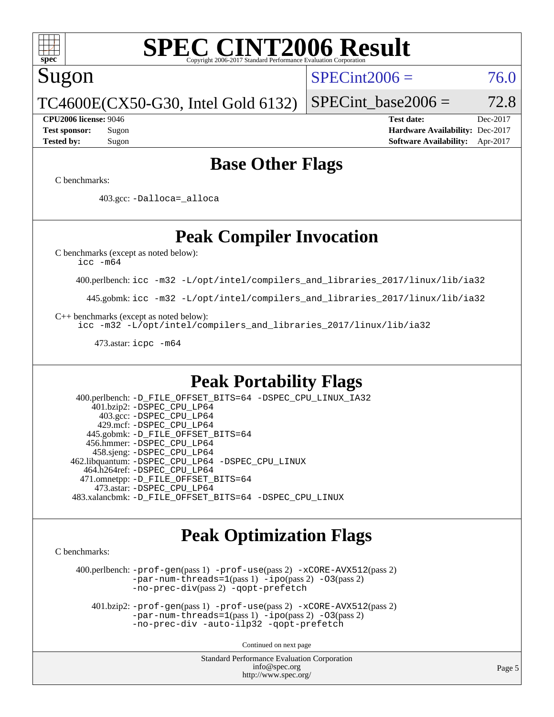

# Sugon

### $SPECint2006 = 76.0$  $SPECint2006 = 76.0$

TC4600E(CX50-G30, Intel Gold 6132)

SPECint base2006 =  $72.8$ 

**[CPU2006 license:](http://www.spec.org/auto/cpu2006/Docs/result-fields.html#CPU2006license)** 9046 **[Test date:](http://www.spec.org/auto/cpu2006/Docs/result-fields.html#Testdate)** Dec-2017 **[Test sponsor:](http://www.spec.org/auto/cpu2006/Docs/result-fields.html#Testsponsor)** Sugon **[Hardware Availability:](http://www.spec.org/auto/cpu2006/Docs/result-fields.html#HardwareAvailability)** Dec-2017 **[Tested by:](http://www.spec.org/auto/cpu2006/Docs/result-fields.html#Testedby)** Sugon **[Software Availability:](http://www.spec.org/auto/cpu2006/Docs/result-fields.html#SoftwareAvailability)** Apr-2017

## **[Base Other Flags](http://www.spec.org/auto/cpu2006/Docs/result-fields.html#BaseOtherFlags)**

[C benchmarks](http://www.spec.org/auto/cpu2006/Docs/result-fields.html#Cbenchmarks):

403.gcc: [-Dalloca=\\_alloca](http://www.spec.org/cpu2006/results/res2017q4/cpu2006-20171212-51228.flags.html#b403.gcc_baseEXTRA_CFLAGS_Dalloca_be3056838c12de2578596ca5467af7f3)

# **[Peak Compiler Invocation](http://www.spec.org/auto/cpu2006/Docs/result-fields.html#PeakCompilerInvocation)**

[C benchmarks \(except as noted below\)](http://www.spec.org/auto/cpu2006/Docs/result-fields.html#Cbenchmarksexceptasnotedbelow):

[icc -m64](http://www.spec.org/cpu2006/results/res2017q4/cpu2006-20171212-51228.flags.html#user_CCpeak_intel_icc_64bit_bda6cc9af1fdbb0edc3795bac97ada53)

400.perlbench: [icc -m32 -L/opt/intel/compilers\\_and\\_libraries\\_2017/linux/lib/ia32](http://www.spec.org/cpu2006/results/res2017q4/cpu2006-20171212-51228.flags.html#user_peakCCLD400_perlbench_intel_icc_c29f3ff5a7ed067b11e4ec10a03f03ae)

445.gobmk: [icc -m32 -L/opt/intel/compilers\\_and\\_libraries\\_2017/linux/lib/ia32](http://www.spec.org/cpu2006/results/res2017q4/cpu2006-20171212-51228.flags.html#user_peakCCLD445_gobmk_intel_icc_c29f3ff5a7ed067b11e4ec10a03f03ae)

[C++ benchmarks \(except as noted below\):](http://www.spec.org/auto/cpu2006/Docs/result-fields.html#CXXbenchmarksexceptasnotedbelow)

[icc -m32 -L/opt/intel/compilers\\_and\\_libraries\\_2017/linux/lib/ia32](http://www.spec.org/cpu2006/results/res2017q4/cpu2006-20171212-51228.flags.html#user_CXXpeak_intel_icc_c29f3ff5a7ed067b11e4ec10a03f03ae)

473.astar: [icpc -m64](http://www.spec.org/cpu2006/results/res2017q4/cpu2006-20171212-51228.flags.html#user_peakCXXLD473_astar_intel_icpc_64bit_fc66a5337ce925472a5c54ad6a0de310)

# **[Peak Portability Flags](http://www.spec.org/auto/cpu2006/Docs/result-fields.html#PeakPortabilityFlags)**

 400.perlbench: [-D\\_FILE\\_OFFSET\\_BITS=64](http://www.spec.org/cpu2006/results/res2017q4/cpu2006-20171212-51228.flags.html#user_peakPORTABILITY400_perlbench_file_offset_bits_64_438cf9856305ebd76870a2c6dc2689ab) [-DSPEC\\_CPU\\_LINUX\\_IA32](http://www.spec.org/cpu2006/results/res2017q4/cpu2006-20171212-51228.flags.html#b400.perlbench_peakCPORTABILITY_DSPEC_CPU_LINUX_IA32) 401.bzip2: [-DSPEC\\_CPU\\_LP64](http://www.spec.org/cpu2006/results/res2017q4/cpu2006-20171212-51228.flags.html#suite_peakPORTABILITY401_bzip2_DSPEC_CPU_LP64) 403.gcc: [-DSPEC\\_CPU\\_LP64](http://www.spec.org/cpu2006/results/res2017q4/cpu2006-20171212-51228.flags.html#suite_peakPORTABILITY403_gcc_DSPEC_CPU_LP64) 429.mcf: [-DSPEC\\_CPU\\_LP64](http://www.spec.org/cpu2006/results/res2017q4/cpu2006-20171212-51228.flags.html#suite_peakPORTABILITY429_mcf_DSPEC_CPU_LP64) 445.gobmk: [-D\\_FILE\\_OFFSET\\_BITS=64](http://www.spec.org/cpu2006/results/res2017q4/cpu2006-20171212-51228.flags.html#user_peakPORTABILITY445_gobmk_file_offset_bits_64_438cf9856305ebd76870a2c6dc2689ab) 456.hmmer: [-DSPEC\\_CPU\\_LP64](http://www.spec.org/cpu2006/results/res2017q4/cpu2006-20171212-51228.flags.html#suite_peakPORTABILITY456_hmmer_DSPEC_CPU_LP64) 458.sjeng: [-DSPEC\\_CPU\\_LP64](http://www.spec.org/cpu2006/results/res2017q4/cpu2006-20171212-51228.flags.html#suite_peakPORTABILITY458_sjeng_DSPEC_CPU_LP64) 462.libquantum: [-DSPEC\\_CPU\\_LP64](http://www.spec.org/cpu2006/results/res2017q4/cpu2006-20171212-51228.flags.html#suite_peakPORTABILITY462_libquantum_DSPEC_CPU_LP64) [-DSPEC\\_CPU\\_LINUX](http://www.spec.org/cpu2006/results/res2017q4/cpu2006-20171212-51228.flags.html#b462.libquantum_peakCPORTABILITY_DSPEC_CPU_LINUX) 464.h264ref: [-DSPEC\\_CPU\\_LP64](http://www.spec.org/cpu2006/results/res2017q4/cpu2006-20171212-51228.flags.html#suite_peakPORTABILITY464_h264ref_DSPEC_CPU_LP64) 471.omnetpp: [-D\\_FILE\\_OFFSET\\_BITS=64](http://www.spec.org/cpu2006/results/res2017q4/cpu2006-20171212-51228.flags.html#user_peakPORTABILITY471_omnetpp_file_offset_bits_64_438cf9856305ebd76870a2c6dc2689ab) 473.astar: [-DSPEC\\_CPU\\_LP64](http://www.spec.org/cpu2006/results/res2017q4/cpu2006-20171212-51228.flags.html#suite_peakPORTABILITY473_astar_DSPEC_CPU_LP64) 483.xalancbmk: [-D\\_FILE\\_OFFSET\\_BITS=64](http://www.spec.org/cpu2006/results/res2017q4/cpu2006-20171212-51228.flags.html#user_peakPORTABILITY483_xalancbmk_file_offset_bits_64_438cf9856305ebd76870a2c6dc2689ab) [-DSPEC\\_CPU\\_LINUX](http://www.spec.org/cpu2006/results/res2017q4/cpu2006-20171212-51228.flags.html#b483.xalancbmk_peakCXXPORTABILITY_DSPEC_CPU_LINUX)

# **[Peak Optimization Flags](http://www.spec.org/auto/cpu2006/Docs/result-fields.html#PeakOptimizationFlags)**

[C benchmarks](http://www.spec.org/auto/cpu2006/Docs/result-fields.html#Cbenchmarks):

 400.perlbench: [-prof-gen](http://www.spec.org/cpu2006/results/res2017q4/cpu2006-20171212-51228.flags.html#user_peakPASS1_CFLAGSPASS1_LDCFLAGS400_perlbench_prof_gen_e43856698f6ca7b7e442dfd80e94a8fc)(pass 1) [-prof-use](http://www.spec.org/cpu2006/results/res2017q4/cpu2006-20171212-51228.flags.html#user_peakPASS2_CFLAGSPASS2_LDCFLAGS400_perlbench_prof_use_bccf7792157ff70d64e32fe3e1250b55)(pass 2) [-xCORE-AVX512](http://www.spec.org/cpu2006/results/res2017q4/cpu2006-20171212-51228.flags.html#user_peakPASS2_CFLAGSPASS2_LDCFLAGS400_perlbench_f-xCORE-AVX512)(pass 2) [-par-num-threads=1](http://www.spec.org/cpu2006/results/res2017q4/cpu2006-20171212-51228.flags.html#user_peakPASS1_CFLAGSPASS1_LDCFLAGS400_perlbench_par_num_threads_786a6ff141b4e9e90432e998842df6c2)(pass 1) [-ipo](http://www.spec.org/cpu2006/results/res2017q4/cpu2006-20171212-51228.flags.html#user_peakPASS2_CFLAGSPASS2_LDCFLAGS400_perlbench_f-ipo)(pass 2) [-O3](http://www.spec.org/cpu2006/results/res2017q4/cpu2006-20171212-51228.flags.html#user_peakPASS2_CFLAGSPASS2_LDCFLAGS400_perlbench_f-O3)(pass 2) [-no-prec-div](http://www.spec.org/cpu2006/results/res2017q4/cpu2006-20171212-51228.flags.html#user_peakPASS2_CFLAGSPASS2_LDCFLAGS400_perlbench_f-no-prec-div)(pass 2) [-qopt-prefetch](http://www.spec.org/cpu2006/results/res2017q4/cpu2006-20171212-51228.flags.html#user_peakCOPTIMIZE400_perlbench_f-qopt-prefetch)

 401.bzip2: [-prof-gen](http://www.spec.org/cpu2006/results/res2017q4/cpu2006-20171212-51228.flags.html#user_peakPASS1_CFLAGSPASS1_LDCFLAGS401_bzip2_prof_gen_e43856698f6ca7b7e442dfd80e94a8fc)(pass 1) [-prof-use](http://www.spec.org/cpu2006/results/res2017q4/cpu2006-20171212-51228.flags.html#user_peakPASS2_CFLAGSPASS2_LDCFLAGS401_bzip2_prof_use_bccf7792157ff70d64e32fe3e1250b55)(pass 2) [-xCORE-AVX512](http://www.spec.org/cpu2006/results/res2017q4/cpu2006-20171212-51228.flags.html#user_peakPASS2_CFLAGSPASS2_LDCFLAGS401_bzip2_f-xCORE-AVX512)(pass 2)  $-par-num-threads=1(pass 1) -ipo(pass 2) -O3(pass 2)$  $-par-num-threads=1(pass 1) -ipo(pass 2) -O3(pass 2)$  $-par-num-threads=1(pass 1) -ipo(pass 2) -O3(pass 2)$  $-par-num-threads=1(pass 1) -ipo(pass 2) -O3(pass 2)$  $-par-num-threads=1(pass 1) -ipo(pass 2) -O3(pass 2)$  $-par-num-threads=1(pass 1) -ipo(pass 2) -O3(pass 2)$ [-no-prec-div](http://www.spec.org/cpu2006/results/res2017q4/cpu2006-20171212-51228.flags.html#user_peakCOPTIMIZEPASS2_CFLAGSPASS2_LDCFLAGS401_bzip2_f-no-prec-div) [-auto-ilp32](http://www.spec.org/cpu2006/results/res2017q4/cpu2006-20171212-51228.flags.html#user_peakCOPTIMIZE401_bzip2_f-auto-ilp32) [-qopt-prefetch](http://www.spec.org/cpu2006/results/res2017q4/cpu2006-20171212-51228.flags.html#user_peakCOPTIMIZE401_bzip2_f-qopt-prefetch)

Continued on next page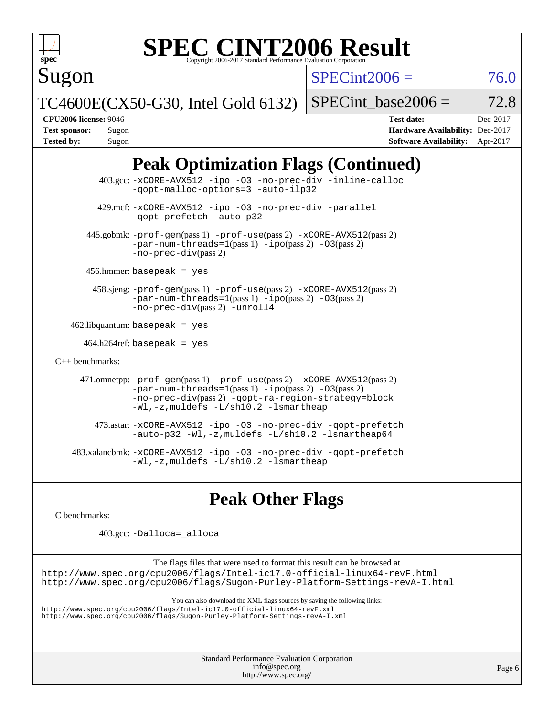

Sugon

# **[SPEC CINT2006 Result](http://www.spec.org/auto/cpu2006/Docs/result-fields.html#SPECCINT2006Result)**

 $SPECint2006 = 76.0$  $SPECint2006 = 76.0$ 

TC4600E(CX50-G30, Intel Gold 6132)

SPECint base2006 =  $72.8$ 

**[CPU2006 license:](http://www.spec.org/auto/cpu2006/Docs/result-fields.html#CPU2006license)** 9046 **[Test date:](http://www.spec.org/auto/cpu2006/Docs/result-fields.html#Testdate)** Dec-2017 **[Test sponsor:](http://www.spec.org/auto/cpu2006/Docs/result-fields.html#Testsponsor)** Sugon **[Hardware Availability:](http://www.spec.org/auto/cpu2006/Docs/result-fields.html#HardwareAvailability)** Dec-2017 **[Tested by:](http://www.spec.org/auto/cpu2006/Docs/result-fields.html#Testedby)** Sugon **[Software Availability:](http://www.spec.org/auto/cpu2006/Docs/result-fields.html#SoftwareAvailability)** Apr-2017

# **[Peak Optimization Flags \(Continued\)](http://www.spec.org/auto/cpu2006/Docs/result-fields.html#PeakOptimizationFlags)**

 403.gcc: [-xCORE-AVX512](http://www.spec.org/cpu2006/results/res2017q4/cpu2006-20171212-51228.flags.html#user_peakOPTIMIZE403_gcc_f-xCORE-AVX512) [-ipo](http://www.spec.org/cpu2006/results/res2017q4/cpu2006-20171212-51228.flags.html#user_peakOPTIMIZE403_gcc_f-ipo) [-O3](http://www.spec.org/cpu2006/results/res2017q4/cpu2006-20171212-51228.flags.html#user_peakOPTIMIZE403_gcc_f-O3) [-no-prec-div](http://www.spec.org/cpu2006/results/res2017q4/cpu2006-20171212-51228.flags.html#user_peakOPTIMIZE403_gcc_f-no-prec-div) [-inline-calloc](http://www.spec.org/cpu2006/results/res2017q4/cpu2006-20171212-51228.flags.html#user_peakCOPTIMIZE403_gcc_f-inline-calloc) [-qopt-malloc-options=3](http://www.spec.org/cpu2006/results/res2017q4/cpu2006-20171212-51228.flags.html#user_peakCOPTIMIZE403_gcc_f-qopt-malloc-options_0fcb435012e78f27d57f473818e45fe4) [-auto-ilp32](http://www.spec.org/cpu2006/results/res2017q4/cpu2006-20171212-51228.flags.html#user_peakCOPTIMIZE403_gcc_f-auto-ilp32) 429.mcf: [-xCORE-AVX512](http://www.spec.org/cpu2006/results/res2017q4/cpu2006-20171212-51228.flags.html#user_peakOPTIMIZE429_mcf_f-xCORE-AVX512) [-ipo](http://www.spec.org/cpu2006/results/res2017q4/cpu2006-20171212-51228.flags.html#user_peakOPTIMIZE429_mcf_f-ipo) [-O3](http://www.spec.org/cpu2006/results/res2017q4/cpu2006-20171212-51228.flags.html#user_peakOPTIMIZE429_mcf_f-O3) [-no-prec-div](http://www.spec.org/cpu2006/results/res2017q4/cpu2006-20171212-51228.flags.html#user_peakOPTIMIZE429_mcf_f-no-prec-div) [-parallel](http://www.spec.org/cpu2006/results/res2017q4/cpu2006-20171212-51228.flags.html#user_peakCOPTIMIZE429_mcf_f-parallel) [-qopt-prefetch](http://www.spec.org/cpu2006/results/res2017q4/cpu2006-20171212-51228.flags.html#user_peakCOPTIMIZE429_mcf_f-qopt-prefetch) [-auto-p32](http://www.spec.org/cpu2006/results/res2017q4/cpu2006-20171212-51228.flags.html#user_peakCOPTIMIZE429_mcf_f-auto-p32) 445.gobmk: [-prof-gen](http://www.spec.org/cpu2006/results/res2017q4/cpu2006-20171212-51228.flags.html#user_peakPASS1_CFLAGSPASS1_LDCFLAGS445_gobmk_prof_gen_e43856698f6ca7b7e442dfd80e94a8fc)(pass 1) [-prof-use](http://www.spec.org/cpu2006/results/res2017q4/cpu2006-20171212-51228.flags.html#user_peakPASS2_CFLAGSPASS2_LDCFLAGS445_gobmk_prof_use_bccf7792157ff70d64e32fe3e1250b55)(pass 2) [-xCORE-AVX512](http://www.spec.org/cpu2006/results/res2017q4/cpu2006-20171212-51228.flags.html#user_peakPASS2_CFLAGSPASS2_LDCFLAGS445_gobmk_f-xCORE-AVX512)(pass 2) [-par-num-threads=1](http://www.spec.org/cpu2006/results/res2017q4/cpu2006-20171212-51228.flags.html#user_peakPASS1_CFLAGSPASS1_LDCFLAGS445_gobmk_par_num_threads_786a6ff141b4e9e90432e998842df6c2)(pass 1) [-ipo](http://www.spec.org/cpu2006/results/res2017q4/cpu2006-20171212-51228.flags.html#user_peakPASS2_CFLAGSPASS2_LDCFLAGS445_gobmk_f-ipo)(pass 2) [-O3](http://www.spec.org/cpu2006/results/res2017q4/cpu2006-20171212-51228.flags.html#user_peakPASS2_CFLAGSPASS2_LDCFLAGS445_gobmk_f-O3)(pass 2) [-no-prec-div](http://www.spec.org/cpu2006/results/res2017q4/cpu2006-20171212-51228.flags.html#user_peakPASS2_CFLAGSPASS2_LDCFLAGS445_gobmk_f-no-prec-div)(pass 2) 456.hmmer: basepeak = yes 458.sjeng: [-prof-gen](http://www.spec.org/cpu2006/results/res2017q4/cpu2006-20171212-51228.flags.html#user_peakPASS1_CFLAGSPASS1_LDCFLAGS458_sjeng_prof_gen_e43856698f6ca7b7e442dfd80e94a8fc)(pass 1) [-prof-use](http://www.spec.org/cpu2006/results/res2017q4/cpu2006-20171212-51228.flags.html#user_peakPASS2_CFLAGSPASS2_LDCFLAGS458_sjeng_prof_use_bccf7792157ff70d64e32fe3e1250b55)(pass 2) [-xCORE-AVX512](http://www.spec.org/cpu2006/results/res2017q4/cpu2006-20171212-51228.flags.html#user_peakPASS2_CFLAGSPASS2_LDCFLAGS458_sjeng_f-xCORE-AVX512)(pass 2) [-par-num-threads=1](http://www.spec.org/cpu2006/results/res2017q4/cpu2006-20171212-51228.flags.html#user_peakPASS1_CFLAGSPASS1_LDCFLAGS458_sjeng_par_num_threads_786a6ff141b4e9e90432e998842df6c2)(pass 1) [-ipo](http://www.spec.org/cpu2006/results/res2017q4/cpu2006-20171212-51228.flags.html#user_peakPASS2_CFLAGSPASS2_LDCFLAGS458_sjeng_f-ipo)(pass 2) [-O3](http://www.spec.org/cpu2006/results/res2017q4/cpu2006-20171212-51228.flags.html#user_peakPASS2_CFLAGSPASS2_LDCFLAGS458_sjeng_f-O3)(pass 2) [-no-prec-div](http://www.spec.org/cpu2006/results/res2017q4/cpu2006-20171212-51228.flags.html#user_peakPASS2_CFLAGSPASS2_LDCFLAGS458_sjeng_f-no-prec-div)(pass 2) [-unroll4](http://www.spec.org/cpu2006/results/res2017q4/cpu2006-20171212-51228.flags.html#user_peakCOPTIMIZE458_sjeng_f-unroll_4e5e4ed65b7fd20bdcd365bec371b81f)  $462$ .libquantum: basepeak = yes 464.h264ref: basepeak = yes [C++ benchmarks:](http://www.spec.org/auto/cpu2006/Docs/result-fields.html#CXXbenchmarks) 471.omnetpp: [-prof-gen](http://www.spec.org/cpu2006/results/res2017q4/cpu2006-20171212-51228.flags.html#user_peakPASS1_CXXFLAGSPASS1_LDCXXFLAGS471_omnetpp_prof_gen_e43856698f6ca7b7e442dfd80e94a8fc)(pass 1) [-prof-use](http://www.spec.org/cpu2006/results/res2017q4/cpu2006-20171212-51228.flags.html#user_peakPASS2_CXXFLAGSPASS2_LDCXXFLAGS471_omnetpp_prof_use_bccf7792157ff70d64e32fe3e1250b55)(pass 2) [-xCORE-AVX512](http://www.spec.org/cpu2006/results/res2017q4/cpu2006-20171212-51228.flags.html#user_peakPASS2_CXXFLAGSPASS2_LDCXXFLAGS471_omnetpp_f-xCORE-AVX512)(pass 2)  $-par-num-threads=1(pass 1) -ipo(pass 2) -O3(pass 2)$  $-par-num-threads=1(pass 1) -ipo(pass 2) -O3(pass 2)$  $-par-num-threads=1(pass 1) -ipo(pass 2) -O3(pass 2)$  $-par-num-threads=1(pass 1) -ipo(pass 2) -O3(pass 2)$  $-par-num-threads=1(pass 1) -ipo(pass 2) -O3(pass 2)$  $-par-num-threads=1(pass 1) -ipo(pass 2) -O3(pass 2)$ [-no-prec-div](http://www.spec.org/cpu2006/results/res2017q4/cpu2006-20171212-51228.flags.html#user_peakPASS2_CXXFLAGSPASS2_LDCXXFLAGS471_omnetpp_f-no-prec-div)(pass 2) [-qopt-ra-region-strategy=block](http://www.spec.org/cpu2006/results/res2017q4/cpu2006-20171212-51228.flags.html#user_peakCXXOPTIMIZE471_omnetpp_f-qopt-ra-region-strategy_0f7b543d62da454b380160c0e3b28f94) [-Wl,-z,muldefs](http://www.spec.org/cpu2006/results/res2017q4/cpu2006-20171212-51228.flags.html#user_peakEXTRA_LDFLAGS471_omnetpp_link_force_multiple1_74079c344b956b9658436fd1b6dd3a8a) [-L/sh10.2 -lsmartheap](http://www.spec.org/cpu2006/results/res2017q4/cpu2006-20171212-51228.flags.html#user_peakEXTRA_LIBS471_omnetpp_SmartHeap_b831f2d313e2fffa6dfe3f00ffc1f1c0) 473.astar: [-xCORE-AVX512](http://www.spec.org/cpu2006/results/res2017q4/cpu2006-20171212-51228.flags.html#user_peakOPTIMIZE473_astar_f-xCORE-AVX512) [-ipo](http://www.spec.org/cpu2006/results/res2017q4/cpu2006-20171212-51228.flags.html#user_peakOPTIMIZE473_astar_f-ipo) [-O3](http://www.spec.org/cpu2006/results/res2017q4/cpu2006-20171212-51228.flags.html#user_peakOPTIMIZE473_astar_f-O3) [-no-prec-div](http://www.spec.org/cpu2006/results/res2017q4/cpu2006-20171212-51228.flags.html#user_peakOPTIMIZE473_astar_f-no-prec-div) [-qopt-prefetch](http://www.spec.org/cpu2006/results/res2017q4/cpu2006-20171212-51228.flags.html#user_peakCXXOPTIMIZE473_astar_f-qopt-prefetch) [-auto-p32](http://www.spec.org/cpu2006/results/res2017q4/cpu2006-20171212-51228.flags.html#user_peakCXXOPTIMIZE473_astar_f-auto-p32) [-Wl,-z,muldefs](http://www.spec.org/cpu2006/results/res2017q4/cpu2006-20171212-51228.flags.html#user_peakEXTRA_LDFLAGS473_astar_link_force_multiple1_74079c344b956b9658436fd1b6dd3a8a) [-L/sh10.2 -lsmartheap64](http://www.spec.org/cpu2006/results/res2017q4/cpu2006-20171212-51228.flags.html#user_peakEXTRA_LIBS473_astar_SmartHeap64_63911d860fc08c15fa1d5bf319b9d8d5) 483.xalancbmk: [-xCORE-AVX512](http://www.spec.org/cpu2006/results/res2017q4/cpu2006-20171212-51228.flags.html#user_peakOPTIMIZE483_xalancbmk_f-xCORE-AVX512) [-ipo](http://www.spec.org/cpu2006/results/res2017q4/cpu2006-20171212-51228.flags.html#user_peakOPTIMIZE483_xalancbmk_f-ipo) [-O3](http://www.spec.org/cpu2006/results/res2017q4/cpu2006-20171212-51228.flags.html#user_peakOPTIMIZE483_xalancbmk_f-O3) [-no-prec-div](http://www.spec.org/cpu2006/results/res2017q4/cpu2006-20171212-51228.flags.html#user_peakOPTIMIZE483_xalancbmk_f-no-prec-div) [-qopt-prefetch](http://www.spec.org/cpu2006/results/res2017q4/cpu2006-20171212-51228.flags.html#user_peakCXXOPTIMIZE483_xalancbmk_f-qopt-prefetch) [-Wl,-z,muldefs](http://www.spec.org/cpu2006/results/res2017q4/cpu2006-20171212-51228.flags.html#user_peakEXTRA_LDFLAGS483_xalancbmk_link_force_multiple1_74079c344b956b9658436fd1b6dd3a8a) [-L/sh10.2 -lsmartheap](http://www.spec.org/cpu2006/results/res2017q4/cpu2006-20171212-51228.flags.html#user_peakEXTRA_LIBS483_xalancbmk_SmartHeap_b831f2d313e2fffa6dfe3f00ffc1f1c0)

**[Peak Other Flags](http://www.spec.org/auto/cpu2006/Docs/result-fields.html#PeakOtherFlags)**

[C benchmarks](http://www.spec.org/auto/cpu2006/Docs/result-fields.html#Cbenchmarks):

403.gcc: [-Dalloca=\\_alloca](http://www.spec.org/cpu2006/results/res2017q4/cpu2006-20171212-51228.flags.html#b403.gcc_peakEXTRA_CFLAGS_Dalloca_be3056838c12de2578596ca5467af7f3)

The flags files that were used to format this result can be browsed at <http://www.spec.org/cpu2006/flags/Intel-ic17.0-official-linux64-revF.html> <http://www.spec.org/cpu2006/flags/Sugon-Purley-Platform-Settings-revA-I.html>

You can also download the XML flags sources by saving the following links:

<http://www.spec.org/cpu2006/flags/Intel-ic17.0-official-linux64-revF.xml> <http://www.spec.org/cpu2006/flags/Sugon-Purley-Platform-Settings-revA-I.xml>